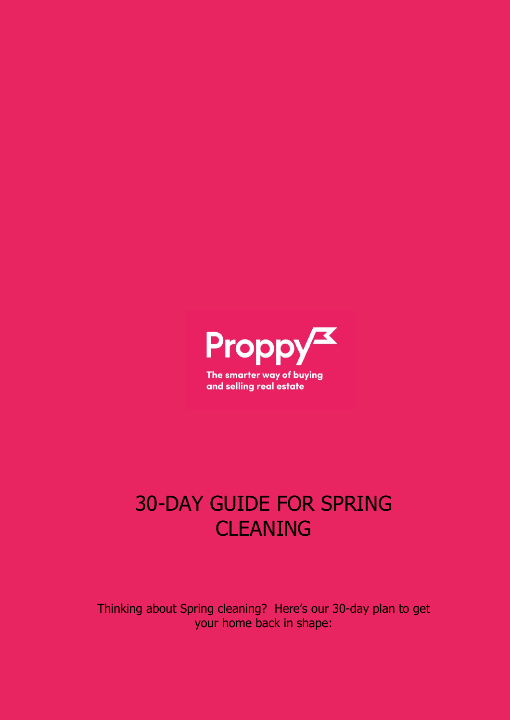

# 30-DAY GUIDE FOR SPRING CLEANING

Thinking about Spring cleaning? Here's our 30-day plan to get your home back in shape: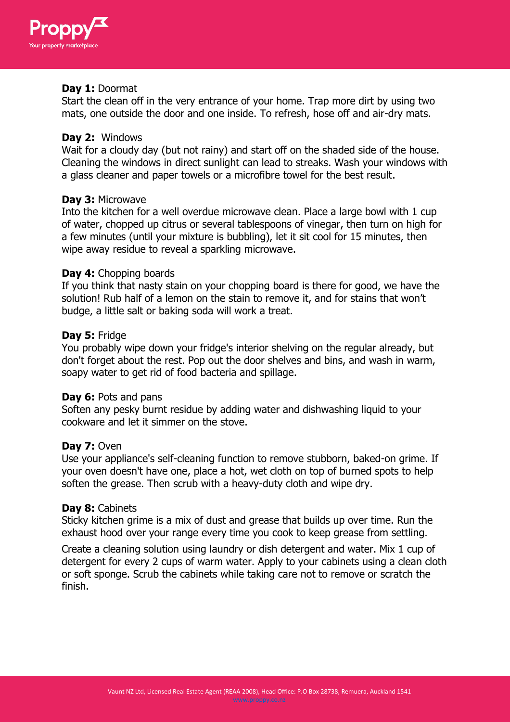

## **Day 1:** Doormat

Start the clean off in the very entrance of your home. Trap more dirt by using two mats, one outside the door and one inside. To refresh, hose off and air-dry mats.

## **Day 2:** Windows

Wait for a cloudy day (but not rainy) and start off on the shaded side of the house. Cleaning the windows in direct sunlight can lead to streaks. Wash your windows with a glass cleaner and paper towels or a microfibre towel for the best result.

## **Day 3:** Microwave

Into the kitchen for a well overdue microwave clean. Place a large bowl with 1 cup of water, chopped up citrus or several tablespoons of vinegar, then turn on high for a few minutes (until your mixture is bubbling), let it sit cool for 15 minutes, then wipe away residue to reveal a sparkling microwave.

## **Day 4:** Chopping boards

If you think that nasty stain on your chopping board is there for good, we have the solution! Rub half of a lemon on the stain to remove it, and for stains that won't budge, a little salt or baking soda will work a treat.

## **Day 5:** Fridge

You probably wipe down your fridge's interior shelving on the regular already, but don't forget about the rest. Pop out the door shelves and bins, and wash in warm, soapy water to get rid of food bacteria and spillage.

#### **Day 6:** Pots and pans

Soften any pesky burnt residue by adding water and dishwashing liquid to your cookware and let it simmer on the stove.

# **Day 7:** Oven

Use your appliance's self-cleaning function to remove stubborn, baked-on grime. If your oven doesn't have one, place a hot, wet cloth on top of burned spots to help soften the grease. Then scrub with a heavy-duty cloth and wipe dry.

#### **Day 8:** Cabinets

Sticky kitchen grime is a mix of dust and grease that builds up over time. Run the exhaust hood over your range every time you cook to keep grease from settling.

Create a cleaning solution using laundry or dish detergent and water. Mix 1 cup of detergent for every 2 cups of warm water. Apply to your cabinets using a clean cloth or soft sponge. Scrub the cabinets while taking care not to remove or scratch the finish.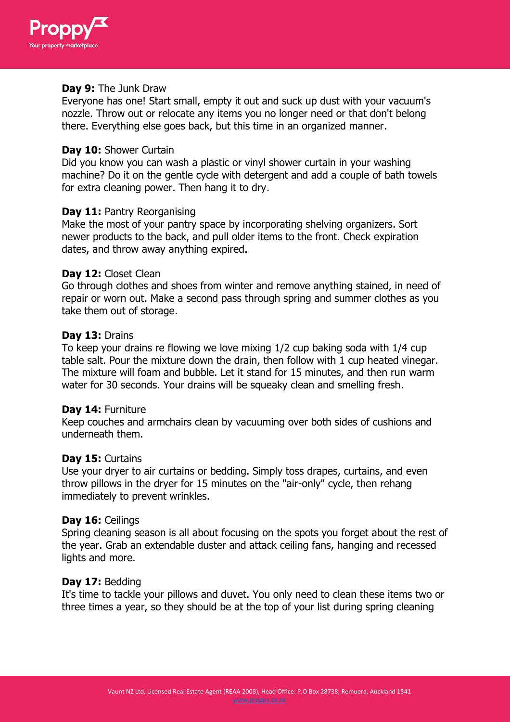

## **Day 9:** The Junk Draw

Everyone has one! Start small, empty it out and suck up dust with your vacuum's nozzle. Throw out or relocate any items you no longer need or that don't belong there. Everything else goes back, but this time in an organized manner.

#### **Day 10:** Shower Curtain

Did you know you can wash a plastic or vinyl shower curtain in your washing machine? Do it on the gentle cycle with detergent and add a couple of bath towels for extra cleaning power. Then hang it to dry.

## **Day 11:** Pantry Reorganising

Make the most of your pantry space by incorporating shelving organizers. Sort newer products to the back, and pull older items to the front. Check expiration dates, and throw away anything expired.

## **Day 12:** Closet Clean

Go through clothes and shoes from winter and remove anything stained, in need of repair or worn out. Make a second pass through spring and summer clothes as you take them out of storage.

## **Day 13:** Drains

To keep your drains re flowing we love mixing 1/2 cup baking soda with 1/4 cup table salt. Pour the mixture down the drain, then follow with 1 cup heated vinegar. The mixture will foam and bubble. Let it stand for 15 minutes, and then run warm water for 30 seconds. Your drains will be squeaky clean and smelling fresh.

#### **Day 14:** Furniture

Keep couches and armchairs clean by vacuuming over both sides of cushions and underneath them.

#### **Day 15:** Curtains

Use your dryer to air curtains or bedding. Simply toss drapes, curtains, and even throw pillows in the dryer for 15 minutes on the "air-only" cycle, then rehang immediately to prevent wrinkles.

#### **Day 16:** Ceilings

Spring cleaning season is all about focusing on the spots you forget about the rest of the year. Grab an extendable duster and attack ceiling fans, hanging and recessed lights and more.

#### **Day 17:** Bedding

It's time to tackle your pillows and duvet. You only need to clean these items two or three times a year, so they should be at the top of your list during spring cleaning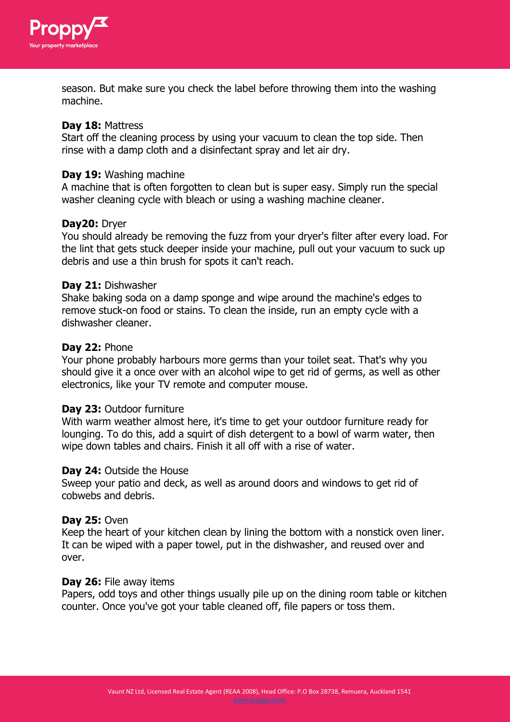

season. But make sure you check the label before throwing them into the washing machine.

## **Day 18:** Mattress

Start off the cleaning process by using your vacuum to clean the top side. Then rinse with a damp cloth and a disinfectant spray and let air dry.

#### **Day 19:** Washing machine

A machine that is often forgotten to clean but is super easy. Simply run the special washer cleaning cycle with bleach or using a washing machine cleaner.

## **Day20:** Dryer

You should already be removing the fuzz from your dryer's filter after every load. For the lint that gets stuck deeper inside your machine, pull out your vacuum to suck up debris and use a thin brush for spots it can't reach.

#### **Day 21:** Dishwasher

Shake baking soda on a damp sponge and wipe around the machine's edges to remove stuck-on food or stains. To clean the inside, run an empty cycle with a dishwasher cleaner.

#### **Day 22:** Phone

Your phone probably harbours more germs than your toilet seat. That's why you should give it a once over with an alcohol wipe to get rid of germs, as well as other electronics, like your TV remote and computer mouse.

#### **Day 23:** Outdoor furniture

With warm weather almost here, it's time to get your outdoor furniture ready for lounging. To do this, add a squirt of dish detergent to a bowl of warm water, then wipe down tables and chairs. Finish it all off with a rise of water.

#### **Day 24:** Outside the House

Sweep your patio and deck, as well as around doors and windows to get rid of cobwebs and debris.

#### **Day 25:** Oven

Keep the heart of your kitchen clean by lining the bottom with a nonstick oven liner. It can be wiped with a paper towel, put in the dishwasher, and reused over and over.

#### **Day 26:** File away items

Papers, odd toys and other things usually pile up on the dining room table or kitchen counter. Once you've got your table cleaned off, file papers or toss them.